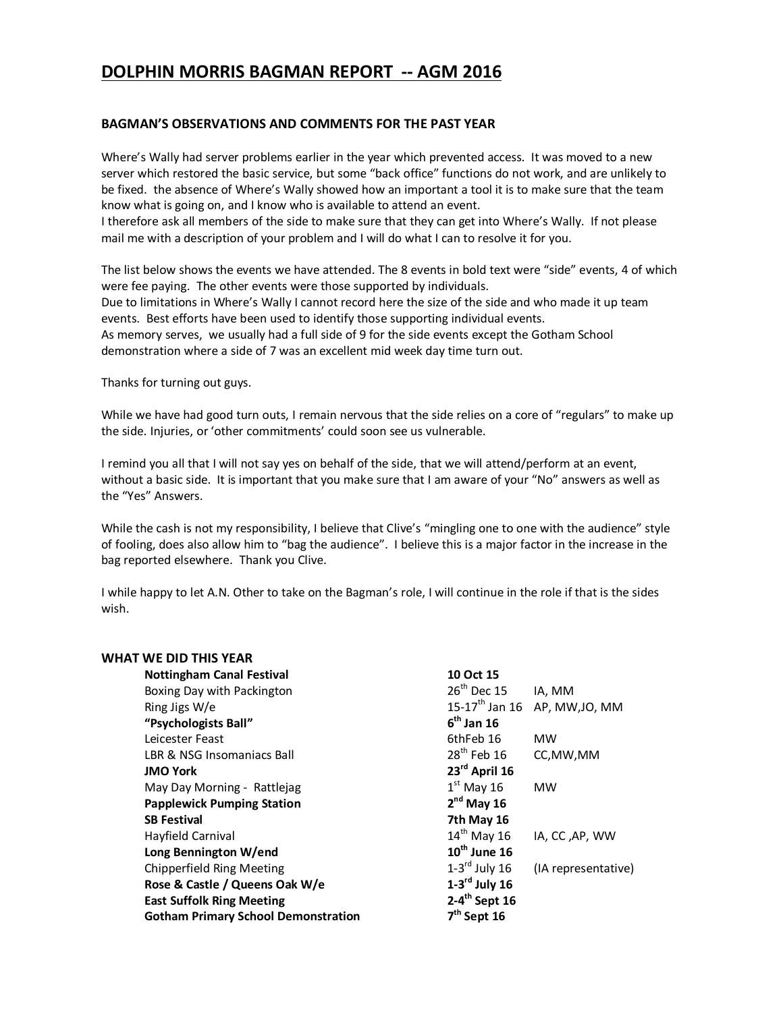## **DOLPHIN MORRIS BAGMAN REPORT -- AGM 2016**

#### **BAGMAN'S OBSERVATIONS AND COMMENTS FOR THE PAST YEAR**

Where's Wally had server problems earlier in the year which prevented access. It was moved to a new server which restored the basic service, but some "back office" functions do not work, and are unlikely to be fixed. the absence of Where's Wally showed how an important a tool it is to make sure that the team know what is going on, and I know who is available to attend an event.

I therefore ask all members of the side to make sure that they can get into Where's Wally. If not please mail me with a description of your problem and I will do what I can to resolve it for you.

The list below shows the events we have attended. The 8 events in bold text were "side" events, 4 of which were fee paying. The other events were those supported by individuals. Due to limitations in Where's Wally I cannot record here the size of the side and who made it up team events. Best efforts have been used to identify those supporting individual events. As memory serves, we usually had a full side of 9 for the side events except the Gotham School demonstration where a side of 7 was an excellent mid week day time turn out.

Thanks for turning out guys.

While we have had good turn outs, I remain nervous that the side relies on a core of "regulars" to make up the side. Injuries, or 'other commitments' could soon see us vulnerable.

I remind you all that I will not say yes on behalf of the side, that we will attend/perform at an event, without a basic side. It is important that you make sure that I am aware of your "No" answers as well as the "Yes" Answers.

While the cash is not my responsibility, I believe that Clive's "mingling one to one with the audience" style of fooling, does also allow him to "bag the audience". I believe this is a major factor in the increase in the bag reported elsewhere. Thank you Clive.

I while happy to let A.N. Other to take on the Bagman's role, I will continue in the role if that is the sides wish.

| WHAT WE DID THIS YEAR                      |                             |                                           |
|--------------------------------------------|-----------------------------|-------------------------------------------|
| <b>Nottingham Canal Festival</b>           | 10 Oct 15                   |                                           |
| Boxing Day with Packington                 | $26th$ Dec 15               | IA, MM                                    |
| Ring Jigs W/e                              |                             | 15-17 <sup>th</sup> Jan 16 AP, MW, JO, MM |
| "Psychologists Ball"                       | $6th$ Jan 16                |                                           |
| Leicester Feast                            | 6thFeb 16                   | <b>MW</b>                                 |
| LBR & NSG Insomaniacs Ball                 | $28th$ Feb 16               | CC, MW, MM                                |
| <b>JMO York</b>                            | 23 <sup>rd</sup> April 16   |                                           |
| May Day Morning - Rattlejag                | $1st$ May 16                | <b>MW</b>                                 |
| <b>Papplewick Pumping Station</b>          | $2nd$ May 16                |                                           |
| <b>SB Festival</b>                         | 7th May 16                  |                                           |
| Hayfield Carnival                          | $14th$ May 16               | IA, CC, AP, WW                            |
| Long Bennington W/end                      | $10^{th}$ June 16           |                                           |
| Chipperfield Ring Meeting                  | $1-3$ <sup>rd</sup> July 16 | (IA representative)                       |
| Rose & Castle / Queens Oak W/e             | $1-3$ <sup>rd</sup> July 16 |                                           |
| <b>East Suffolk Ring Meeting</b>           | $2-4$ <sup>th</sup> Sept 16 |                                           |
| <b>Gotham Primary School Demonstration</b> | $7th$ Sept 16               |                                           |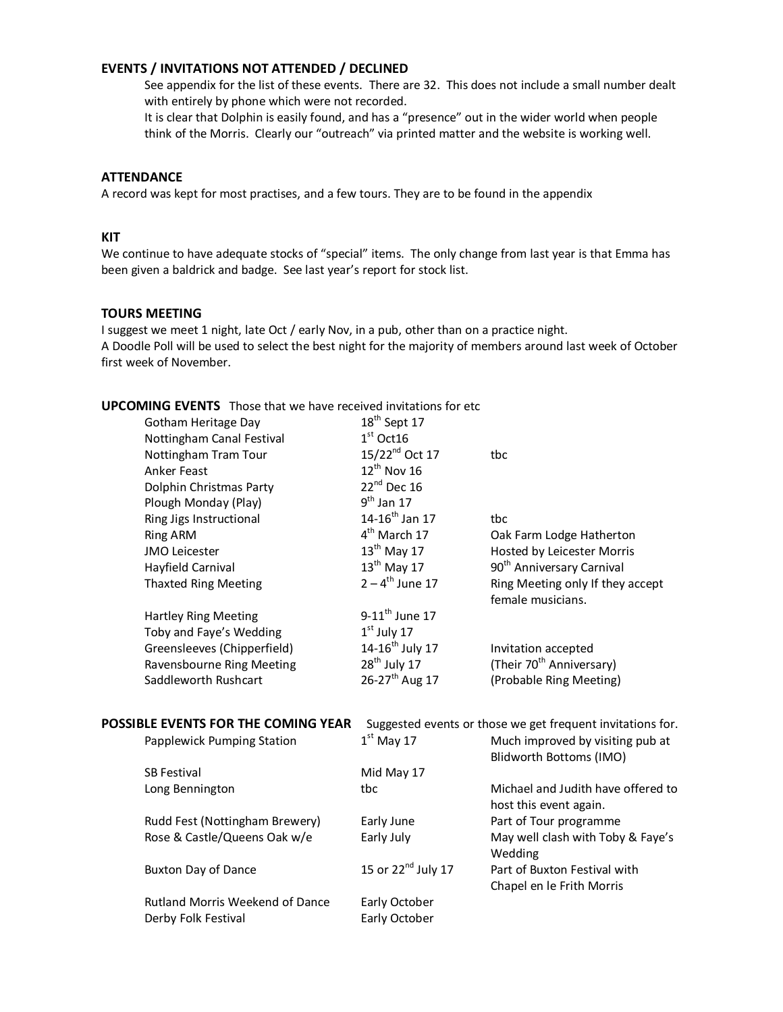#### **EVENTS / INVITATIONS NOT ATTENDED / DECLINED**

See appendix for the list of these events. There are 32. This does not include a small number dealt with entirely by phone which were not recorded.

It is clear that Dolphin is easily found, and has a "presence" out in the wider world when people think of the Morris. Clearly our "outreach" via printed matter and the website is working well.

#### **ATTENDANCE**

A record was kept for most practises, and a few tours. They are to be found in the appendix

#### **KIT**

We continue to have adequate stocks of "special" items. The only change from last year is that Emma has been given a baldrick and badge. See last year's report for stock list.

#### **TOURS MEETING**

I suggest we meet 1 night, late Oct / early Nov, in a pub, other than on a practice night. A Doodle Poll will be used to select the best night for the majority of members around last week of October first week of November.

#### **UPCOMING EVENTS** Those that we have received invitations for etc

| Gotham Heritage Day                    | $18th$ Sept 17               |                                                              |
|----------------------------------------|------------------------------|--------------------------------------------------------------|
| Nottingham Canal Festival              | $1st$ Oct16                  |                                                              |
| Nottingham Tram Tour                   | 15/22 <sup>nd</sup> Oct 17   | tbc                                                          |
| <b>Anker Feast</b>                     | $12^{th}$ Nov 16             |                                                              |
| Dolphin Christmas Party                | $22^{nd}$ Dec 16             |                                                              |
| Plough Monday (Play)                   | $9^{th}$ Jan 17              |                                                              |
| Ring Jigs Instructional                | $14 - 16^{th}$ Jan 17        | tbc                                                          |
| <b>Ring ARM</b>                        | 4 <sup>th</sup> March 17     | Oak Farm Lodge Hatherton                                     |
| <b>JMO Leicester</b>                   | $13th$ May 17                | Hosted by Leicester Morris                                   |
| Hayfield Carnival                      | $13th$ May 17                | 90 <sup>th</sup> Anniversary Carnival                        |
| <b>Thaxted Ring Meeting</b>            | $2 - 4^{th}$ June 17         | Ring Meeting only If they accept<br>female musicians.        |
| <b>Hartley Ring Meeting</b>            | $9-11$ <sup>th</sup> June 17 |                                                              |
| Toby and Faye's Wedding                | $1st$ July 17                |                                                              |
| Greensleeves (Chipperfield)            | $14 - 16^{th}$ July 17       | Invitation accepted                                          |
| Ravensbourne Ring Meeting              | $28th$ July 17               | (Their 70 <sup>th</sup> Anniversary)                         |
| Saddleworth Rushcart                   | 26-27 <sup>th</sup> Aug 17   | (Probable Ring Meeting)                                      |
| POSSIBLE EVENTS FOR THE COMING YEAR    |                              | Suggested events or those we get frequent invitations for.   |
| Papplewick Pumping Station             | $1st$ May 17                 | Much improved by visiting pub at<br>Blidworth Bottoms (IMO)  |
| <b>SB Festival</b>                     | Mid May 17                   |                                                              |
| Long Bennington                        | tbc                          | Michael and Judith have offered to<br>host this event again. |
| Rudd Fest (Nottingham Brewery)         | Early June                   | Part of Tour programme                                       |
| Rose & Castle/Queens Oak w/e           | Early July                   | May well clash with Toby & Faye's<br>Wedding                 |
| <b>Buxton Day of Dance</b>             | 15 or $22^{nd}$ July 17      | Part of Buxton Festival with<br>Chapel en le Frith Morris    |
| <b>Rutland Morris Weekend of Dance</b> | Early October                |                                                              |
| Derby Folk Festival                    | Early October                |                                                              |
|                                        |                              |                                                              |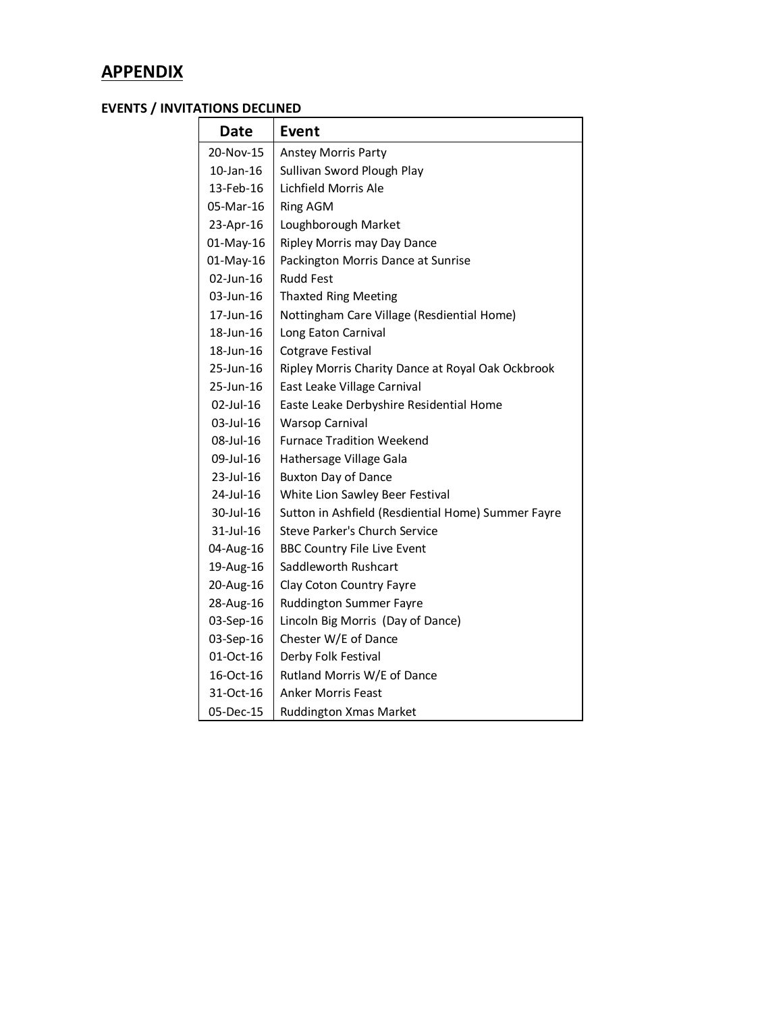# **APPENDIX**

## **EVENTS / INVITATIONS DECLINED**

| <b>Date</b>     | Event                                              |
|-----------------|----------------------------------------------------|
| 20-Nov-15       | <b>Anstey Morris Party</b>                         |
| $10$ -Jan- $16$ | Sullivan Sword Plough Play                         |
| 13-Feb-16       | Lichfield Morris Ale                               |
| 05-Mar-16       | <b>Ring AGM</b>                                    |
| 23-Apr-16       | Loughborough Market                                |
| 01-May-16       | Ripley Morris may Day Dance                        |
| 01-May-16       | Packington Morris Dance at Sunrise                 |
| 02-Jun-16       | <b>Rudd Fest</b>                                   |
| 03-Jun-16       | <b>Thaxted Ring Meeting</b>                        |
| 17-Jun-16       | Nottingham Care Village (Resdiential Home)         |
| 18-Jun-16       | Long Eaton Carnival                                |
| 18-Jun-16       | <b>Cotgrave Festival</b>                           |
| 25-Jun-16       | Ripley Morris Charity Dance at Royal Oak Ockbrook  |
| 25-Jun-16       | East Leake Village Carnival                        |
| 02-Jul-16       | Easte Leake Derbyshire Residential Home            |
| 03-Jul-16       | <b>Warsop Carnival</b>                             |
| 08-Jul-16       | <b>Furnace Tradition Weekend</b>                   |
| 09-Jul-16       | Hathersage Village Gala                            |
| 23-Jul-16       | <b>Buxton Day of Dance</b>                         |
| 24-Jul-16       | White Lion Sawley Beer Festival                    |
| 30-Jul-16       | Sutton in Ashfield (Resdiential Home) Summer Fayre |
| 31-Jul-16       | Steve Parker's Church Service                      |
| 04-Aug-16       | <b>BBC Country File Live Event</b>                 |
| 19-Aug-16       | Saddleworth Rushcart                               |
| 20-Aug-16       | Clay Coton Country Fayre                           |
| 28-Aug-16       | <b>Ruddington Summer Fayre</b>                     |
| 03-Sep-16       | Lincoln Big Morris (Day of Dance)                  |
| 03-Sep-16       | Chester W/E of Dance                               |
| 01-Oct-16       | Derby Folk Festival                                |
| 16-Oct-16       | Rutland Morris W/E of Dance                        |
| 31-Oct-16       | <b>Anker Morris Feast</b>                          |
| 05-Dec-15       | <b>Ruddington Xmas Market</b>                      |